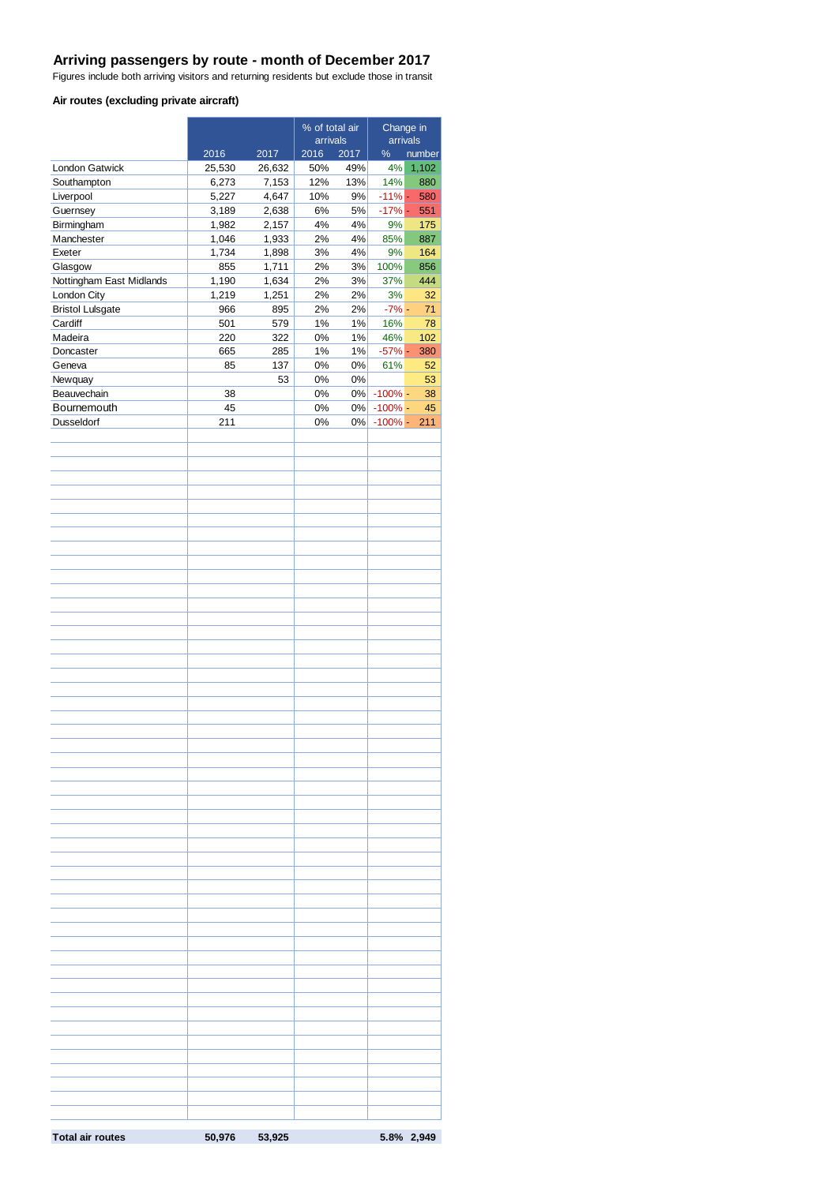#### **Arriving passengers by route - month of December 2017**

Figures include both arriving visitors and returning residents but exclude those in transit

#### **Air routes (excluding private aircraft)**

|                          |           | % of total air |                  | Change in<br>arrivals |                 |            |
|--------------------------|-----------|----------------|------------------|-----------------------|-----------------|------------|
|                          | 2016      | 2017           | arrivals<br>2016 | 2017                  | $\%$            | number     |
| London Gatwick           | 25,530    | 26,632         | 50%              | 49%                   | 4%              | 1,102      |
| Southampton              | 6,273     | 7,153          | 12%              | 13%                   | 14%             | 880        |
| Liverpool                | 5,227     | 4,647          | 10%              | 9%                    | $-11\%$ -       | 580        |
| Guernsey                 | 3,189     | 2,638          | 6%               | 5%                    | $-17% -$        | 551        |
| Birmingham               | 1,982     | 2,157          | 4%               | 4%                    | 9%              | 175        |
| Manchester               | 1,046     | 1,933          | 2%               | 4%                    | 85%             | 887        |
| Exeter                   | 1,734     | 1,898          | 3%               | 4%                    | 9%              | 164        |
| Glasgow                  | 855       | 1,711          | 2%               | 3%                    | 100%            | 856        |
| Nottingham East Midlands | 1,190     | 1,634          | 2%               | 3%                    | 37%             | 444        |
| London City              | 1,219     | 1,251          | 2%               | 2%                    | 3%              | 32         |
| <b>Bristol Lulsgate</b>  | 966       | 895            | 2%               | 2%                    | $-7\%$ -        | 71         |
| Cardiff                  | 501       | 579            | 1%               | 1%                    | 16%             | 78         |
| Madeira                  | 220       | 322            | 0%               | 1%                    | 46%             | 102        |
| Doncaster<br>Geneva      | 665<br>85 | 285<br>137     | 1%<br>$0\%$      | 1%<br>0%              | $-57%$ -<br>61% | 380<br>52  |
| Newquay                  |           | 53             | 0%               | 0%                    |                 | 53         |
| Beauvechain              | 38        |                | 0%               |                       | 0% - 100% -     | 38         |
| Bournemouth              | 45        |                | 0%               |                       | 0% - 100% -     | 45         |
| Dusseldorf               | 211       |                | 0%               | $0\%$                 | $-100%$ -       | 211        |
|                          |           |                |                  |                       |                 |            |
|                          |           |                |                  |                       |                 |            |
|                          |           |                |                  |                       |                 |            |
|                          |           |                |                  |                       |                 |            |
|                          |           |                |                  |                       |                 |            |
|                          |           |                |                  |                       |                 |            |
|                          |           |                |                  |                       |                 |            |
|                          |           |                |                  |                       |                 |            |
|                          |           |                |                  |                       |                 |            |
|                          |           |                |                  |                       |                 |            |
|                          |           |                |                  |                       |                 |            |
|                          |           |                |                  |                       |                 |            |
|                          |           |                |                  |                       |                 |            |
|                          |           |                |                  |                       |                 |            |
|                          |           |                |                  |                       |                 |            |
|                          |           |                |                  |                       |                 |            |
|                          |           |                |                  |                       |                 |            |
|                          |           |                |                  |                       |                 |            |
|                          |           |                |                  |                       |                 |            |
|                          |           |                |                  |                       |                 |            |
|                          |           |                |                  |                       |                 |            |
|                          |           |                |                  |                       |                 |            |
|                          |           |                |                  |                       |                 |            |
|                          |           |                |                  |                       |                 |            |
|                          |           |                |                  |                       |                 |            |
|                          |           |                |                  |                       |                 |            |
|                          |           |                |                  |                       |                 |            |
|                          |           |                |                  |                       |                 |            |
|                          |           |                |                  |                       |                 |            |
|                          |           |                |                  |                       |                 |            |
|                          |           |                |                  |                       |                 |            |
|                          |           |                |                  |                       |                 |            |
|                          |           |                |                  |                       |                 |            |
|                          |           |                |                  |                       |                 |            |
|                          |           |                |                  |                       |                 |            |
|                          |           |                |                  |                       |                 |            |
|                          |           |                |                  |                       |                 |            |
|                          |           |                |                  |                       |                 |            |
|                          |           |                |                  |                       |                 |            |
|                          |           |                |                  |                       |                 |            |
|                          |           |                |                  |                       |                 |            |
|                          |           |                |                  |                       |                 |            |
|                          |           |                |                  |                       |                 |            |
|                          |           |                |                  |                       |                 |            |
|                          |           |                |                  |                       |                 |            |
|                          |           |                |                  |                       |                 |            |
|                          |           |                |                  |                       |                 |            |
|                          |           |                |                  |                       |                 |            |
| <b>Total air routes</b>  | 50,976    | 53,925         |                  |                       |                 | 5.8% 2,949 |
|                          |           |                |                  |                       |                 |            |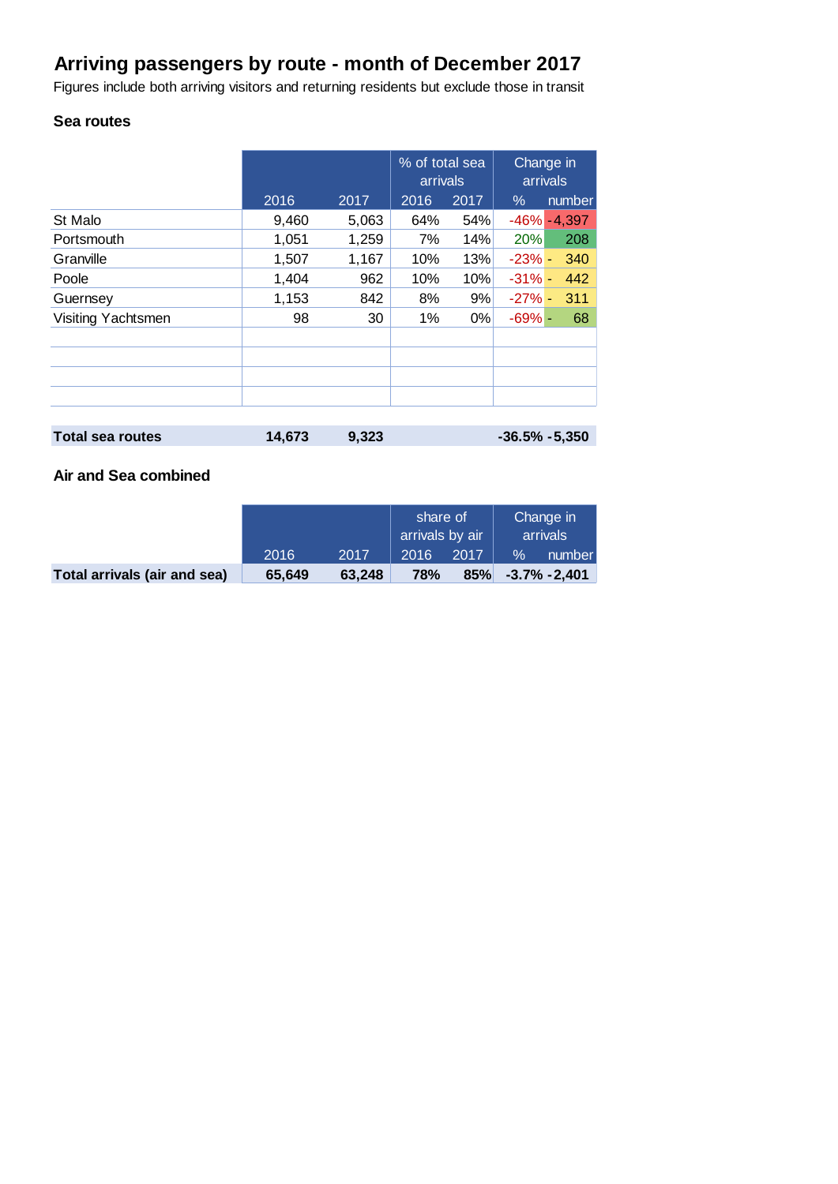# **Arriving passengers by route - month of December 2017**

Figures include both arriving visitors and returning residents but exclude those in transit

# **Sea routes**

|                         |        |       | % of total sea<br>arrivals |      | Change in<br>arrivals |                 |  |
|-------------------------|--------|-------|----------------------------|------|-----------------------|-----------------|--|
|                         | 2016   | 2017  | 2016                       | 2017 | $\%$                  | number          |  |
| St Malo                 | 9,460  | 5,063 | 64%                        | 54%  |                       | $-46\% - 4,397$ |  |
| Portsmouth              | 1,051  | 1,259 | 7%                         | 14%  | 20%                   | 208             |  |
| Granville               | 1,507  | 1,167 | 10%                        | 13%  | $-23% -$              | 340             |  |
| Poole                   | 1,404  | 962   | 10%                        | 10%  | $-31% -$              | 442             |  |
| Guernsey                | 1,153  | 842   | 8%                         | 9%   | $-27% -$              | 311             |  |
| Visiting Yachtsmen      | 98     | 30    | 1%                         | 0%   | $-69% -$              | 68              |  |
|                         |        |       |                            |      |                       |                 |  |
|                         |        |       |                            |      |                       |                 |  |
| <b>Total sea routes</b> | 14,673 | 9,323 |                            |      | $-36.5% -5,350$       |                 |  |

## **Air and Sea combined**

|                              |        |        | share of<br>arrivals by air |      | Change in<br>arrivals |                 |
|------------------------------|--------|--------|-----------------------------|------|-----------------------|-----------------|
|                              | 2016   | 2017   | 2016                        | 2017 | $\%$                  | number          |
| Total arrivals (air and sea) | 65.649 | 63.248 | 78%                         | 85%  |                       | $-3.7\% -2,401$ |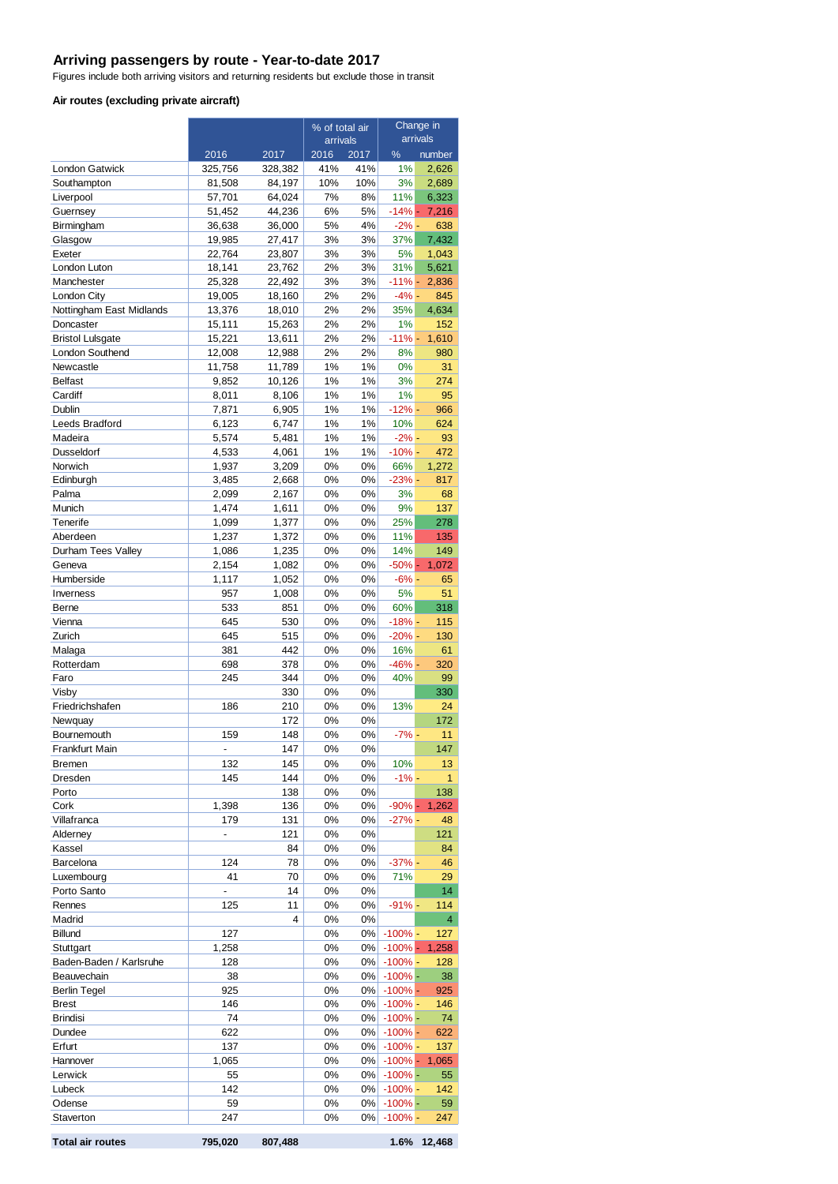#### **Arriving passengers by route - Year-to-date 2017**

Figures include both arriving visitors and returning residents but exclude those in transit

#### **Air routes (excluding private aircraft)**

|                                        |                  |                  | % of total air |             | Change in<br>arrivals   |                 |
|----------------------------------------|------------------|------------------|----------------|-------------|-------------------------|-----------------|
|                                        | 2016             | 2017             | arrivals       |             | $\%$                    |                 |
| <b>London Gatwick</b>                  | 325,756          | 328,382          | 2016<br>41%    | 2017<br>41% | 1%                      | number<br>2,626 |
| Southampton                            | 81,508           | 84,197           | 10%            | 10%         | 3%                      | 2,689           |
| Liverpool                              | 57,701           | 64,024           | 7%             | 8%          | 11%                     | 6,323           |
| Guernsey                               | 51,452           | 44,236           | 6%             | 5%          | $-14% -$                | 7,216           |
| Birmingham                             | 36,638           | 36,000           | 5%             | 4%          | $-2\%$ -                | 638             |
| Glasgow                                | 19,985           | 27,417           | 3%             | 3%          | 37%                     | 7,432           |
| Exeter<br>London Luton                 | 22,764<br>18,141 | 23,807<br>23,762 | 3%<br>2%       | 3%<br>3%    | 5%<br>31%               | 1,043<br>5,621  |
| Manchester                             | 25,328           | 22,492           | 3%             | 3%          | $-11% -$                | 2,836           |
| London City                            | 19,005           | 18,160           | 2%             | 2%          | $-4% -$                 | 845             |
| Nottingham East Midlands               | 13,376           | 18,010           | 2%             | 2%          | 35%                     | 4,634           |
| Doncaster                              | 15,111           | 15,263           | 2%             | 2%          | 1%                      | 152             |
| <b>Bristol Lulsgate</b>                | 15,221           | 13,611           | 2%             | 2%          | $-11% -$                | 1,610           |
| London Southend                        | 12,008           | 12,988           | 2%             | 2%          | 8%                      | 980             |
| Newcastle<br><b>Belfast</b>            | 11,758<br>9,852  | 11,789<br>10,126 | 1%<br>1%       | 1%<br>1%    | 0%<br>3%                | 31<br>274       |
| Cardiff                                | 8,011            | 8,106            | 1%             | 1%          | 1%                      | 95              |
| Dublin                                 | 7,871            | 6,905            | 1%             | $1\%$       | $-12% -$                | 966             |
| Leeds Bradford                         | 6,123            | 6,747            | 1%             | 1%          | 10%                     | 624             |
| Madeira                                | 5,574            | 5,481            | 1%             | 1%          | $-2%$ -                 | 93              |
| Dusseldorf                             | 4,533            | 4,061            | 1%             | $1\%$       | $-10% -$                | 472             |
| Norwich                                | 1,937            | 3,209            | 0%             | 0%          | 66%                     | 1,272           |
| Edinburgh                              | 3,485            | 2,668            | 0%             | 0%          | $-23%$ -                | 817             |
| Palma<br>Munich                        | 2,099<br>1,474   | 2,167<br>1,611   | 0%<br>0%       | 0%<br>0%    | 3%<br>9%                | 68<br>137       |
| Tenerife                               | 1,099            | 1,377            | 0%             | 0%          | 25%                     | 278             |
| Aberdeen                               | 1,237            | 1,372            | 0%             | 0%          | 11%                     | 135             |
| Durham Tees Valley                     | 1,086            | 1,235            | 0%             | 0%          | 14%                     | 149             |
| Geneva                                 | 2,154            | 1,082            | 0%             | 0%          | $-50% -$                | 1,072           |
| Humberside                             | 1,117            | 1,052            | 0%             | 0%          | $-6% -$                 | 65              |
| Inverness                              | 957              | 1,008            | 0%             | 0%          | 5%                      | 51              |
| Berne<br>Vienna                        | 533<br>645       | 851<br>530       | 0%<br>0%       | 0%<br>0%    | 60%<br>$-18% -$         | 318<br>115      |
| Zurich                                 | 645              | 515              | 0%             | 0%          | $-20% -$                | 130             |
| Malaga                                 | 381              | 442              | 0%             | 0%          | 16%                     | 61              |
| Rotterdam                              | 698              | 378              | 0%             | 0%          | $-46% -$                | 320             |
| Faro                                   | 245              | 344              | 0%             | 0%          | 40%                     | 99              |
| Visby                                  |                  | 330              | 0%             | 0%          |                         | 330             |
| Friedrichshafen                        | 186              | 210              | 0%             | 0%          | 13%                     | 24              |
| Newquay<br>Bournemouth                 | 159              | 172<br>148       | 0%<br>0%       | 0%<br>0%    | $-7%$ -                 | 172<br>11       |
| Frankfurt Main                         |                  | 147              | $0\%$          | 0%          |                         | 147             |
| Bremen                                 | 132              | 145              | 0%             | 0%          | 10%                     | 13              |
| Dresden                                | 145              | 144              | 0%             | 0%          | $-1%$ -                 | 1               |
| Porto                                  |                  | 138              | 0%             | 0%          |                         | 138             |
| Cork                                   | 1,398            | 136              | 0%             | 0%          | $-90% -$                | 1,262           |
| Villafranca                            | 179              | 131              | 0%             | 0%          | $-27%$ -                | 48              |
| Alderney                               | $\overline{a}$   | 121              | 0%             | 0%          |                         | 121             |
| Kassel<br>Barcelona                    | 124              | 84<br>78         | 0%<br>0%       | 0%<br>0%    | $-37%$ -                | 84<br>46        |
| Luxembourg                             | 41               | 70               | 0%             | 0%          | 71%                     | 29              |
| Porto Santo                            | $\overline{a}$   | 14               | 0%             | 0%          |                         | 14              |
| Rennes                                 | 125              | 11               | 0%             | 0%          | $-91% -$                | 114             |
| Madrid                                 |                  | 4                | 0%             | 0%          |                         | 4               |
| Billund                                | 127              |                  | 0%             | 0%          | $-100%$ -               | 127             |
| Stuttgart                              | 1,258            |                  | 0%             | 0%          | $-100%$                 | 1,258           |
| Baden-Baden / Karlsruhe<br>Beauvechain | 128<br>38        |                  | 0%<br>0%       | 0%<br>0%    | $-100\%$ -<br>$-100%$ - | 128<br>38       |
| <b>Berlin Tegel</b>                    | 925              |                  | 0%             | 0%          | $-100\%$ -              | 925             |
| <b>Brest</b>                           | 146              |                  | 0%             | 0%          | $-100\%$ -              | 146             |
| <b>Brindisi</b>                        | 74               |                  | 0%             | 0%          | $-100%$ -               | 74              |
| Dundee                                 | 622              |                  | 0%             | $0\%$       | $-100\%$ -              | 622             |
| Erfurt                                 | 137              |                  | 0%             | 0%          | $-100\%$ -              | 137             |
| Hannover                               | 1,065            |                  | 0%             | 0%          | $-100% -$               | 1,065           |
| Lerwick                                | 55               |                  | 0%             | 0%          | $-100\%$ -              | 55              |
| Lubeck<br>Odense                       | 142<br>59        |                  | 0%<br>0%       | 0%<br>0%    | $-100\%$ -<br>$-100% -$ | 142<br>59       |
| Staverton                              | 247              |                  | 0%             | 0%          | $-100\%$ -              | 247             |
|                                        |                  |                  |                |             |                         |                 |
| <b>Total air routes</b>                | 795,020          | 807,488          |                |             |                         | 1.6% 12,468     |

|  | Total air routes |  |
|--|------------------|--|
|  |                  |  |